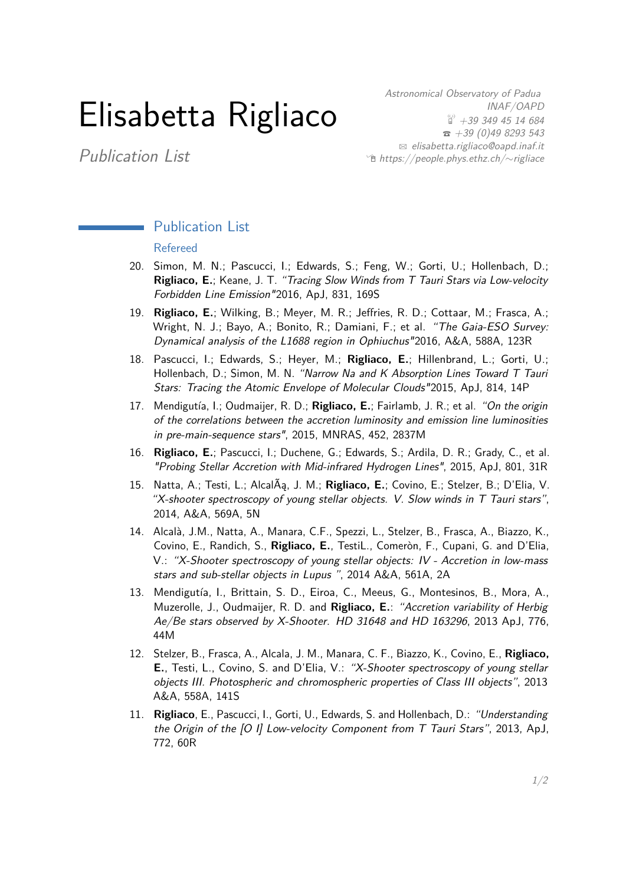## Elisabetta Rigliaco

Publication List

Astronomical Observatory of Padua INAF/OAPD  $\overset{\text{\tiny{(3)}}}{\text{ii}}$  +39 349 45 14 684  $\bar{3}$  +39 (0)49 8293 543  $\boxtimes$  [elisabetta.rigliaco@oapd.inaf.it](mailto:elisabetta.rigliaco@oapd.inaf.it) Í [https://people.phys.ethz.ch/](http://https://people.phys.ethz.ch/~rigliace/)∼rigliace

## Publication List

## Refereed

- <span id="page-0-0"></span>20. Simon, M. N.; Pascucci, I.; Edwards, S.; Feng, W.; Gorti, U.; Hollenbach, D.; **Rigliaco, E.**; Keane, J. T. "Tracing Slow Winds from T Tauri Stars via Low-velocity Forbidden Line Emission"2016, ApJ, 831, 169S
- 19. **Rigliaco, E.**; Wilking, B.; Meyer, M. R.; Jeffries, R. D.; Cottaar, M.; Frasca, A.; Wright, N. J.; Bayo, A.; Bonito, R.; Damiani, F.; et al. "The Gaia-ESO Survey: Dynamical analysis of the L1688 region in Ophiuchus"2016, A&A, 588A, 123R
- 18. Pascucci, I.; Edwards, S.; Heyer, M.; **Rigliaco, E.**; Hillenbrand, L.; Gorti, U.; Hollenbach, D.; Simon, M. N. "Narrow Na and K Absorption Lines Toward T Tauri Stars: Tracing the Atomic Envelope of Molecular Clouds"2015, ApJ, 814, 14P
- 17. Mendigutía, I.; Oudmaijer, R. D.; **Rigliaco, E.**; Fairlamb, J. R.; et al. "On the origin of the correlations between the accretion luminosity and emission line luminosities in pre-main-sequence stars", 2015, MNRAS, 452, 2837M
- 16. **Rigliaco, E.**; Pascucci, I.; Duchene, G.; Edwards, S.; Ardila, D. R.; Grady, C., et al. "Probing Stellar Accretion with Mid-infrared Hydrogen Lines", 2015, ApJ, 801, 31R
- 15. Natta, A.; Testi, L.; AlcalÃą, J. M.; **Rigliaco, E.**; Covino, E.; Stelzer, B.; D'Elia, V. "X-shooter spectroscopy of young stellar objects. V. Slow winds in T Tauri stars", 2014, A&A, 569A, 5N
- 14. Alcalà, J.M., Natta, A., Manara, C.F., Spezzi, L., Stelzer, B., Frasca, A., Biazzo, K., Covino, E., Randich, S., **Rigliaco, E.**, TestiL., Comeròn, F., Cupani, G. and D'Elia, V.: "X-Shooter spectroscopy of young stellar objects: IV - Accretion in low-mass stars and sub-stellar objects in Lupus ", 2014 A&A, 561A, 2A
- 13. Mendigutía, I., Brittain, S. D., Eiroa, C., Meeus, G., Montesinos, B., Mora, A., Muzerolle, J., Oudmaijer, R. D. and **Rigliaco, E.**: "Accretion variability of Herbig Ae/Be stars observed by X-Shooter. HD 31648 and HD 163296, 2013 ApJ, 776, 44M
- 12. Stelzer, B., Frasca, A., Alcala, J. M., Manara, C. F., Biazzo, K., Covino, E., **Rigliaco, E.**, Testi, L., Covino, S. and D'Elia, V.: "X-Shooter spectroscopy of young stellar objects III. Photospheric and chromospheric properties of Class III objects", 2013 A&A, 558A, 141S
- 11. **Rigliaco**, E., Pascucci, I., Gorti, U., Edwards, S. and Hollenbach, D.: "Understanding the Origin of the [O I] Low-velocity Component from T Tauri Stars", 2013, ApJ, 772, 60R